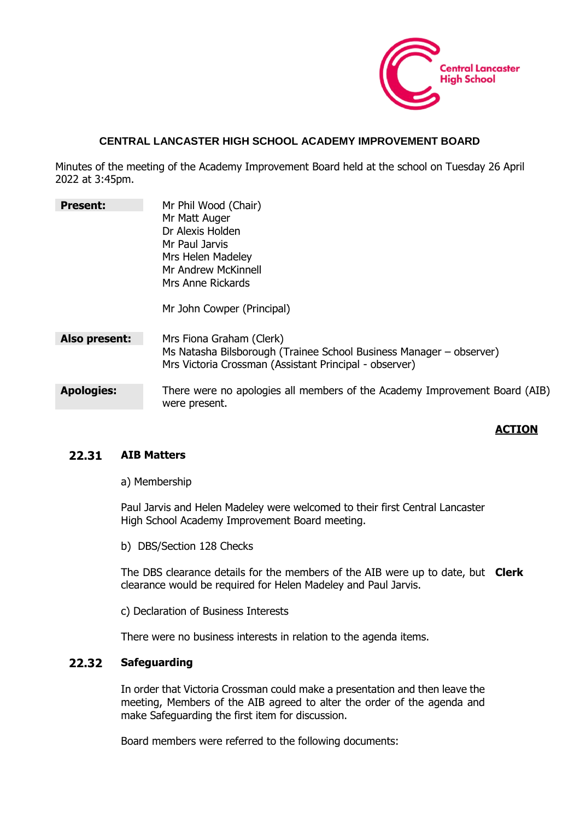

## **CENTRAL LANCASTER HIGH SCHOOL ACADEMY IMPROVEMENT BOARD**

Minutes of the meeting of the Academy Improvement Board held at the school on Tuesday 26 April 2022 at 3:45pm.

| <b>Present:</b>   | Mr Phil Wood (Chair)                                                                                                          |
|-------------------|-------------------------------------------------------------------------------------------------------------------------------|
|                   | Mr Matt Auger                                                                                                                 |
|                   | Dr Alexis Holden                                                                                                              |
|                   | Mr Paul Jarvis                                                                                                                |
|                   | Mrs Helen Madeley                                                                                                             |
|                   | Mr Andrew McKinnell                                                                                                           |
|                   | Mrs Anne Rickards                                                                                                             |
|                   | Mr John Cowper (Principal)                                                                                                    |
| Also present:     | Mrs Fiona Graham (Clerk)                                                                                                      |
|                   | Ms Natasha Bilsborough (Trainee School Business Manager – observer)<br>Mrs Victoria Crossman (Assistant Principal - observer) |
|                   |                                                                                                                               |
| <b>Apologies:</b> | There were no apologies all members of the Academy Improvement Board (AIB)<br>were present.                                   |

## **ACTION**

## **22.31 AIB Matters**

a) Membership

Paul Jarvis and Helen Madeley were welcomed to their first Central Lancaster High School Academy Improvement Board meeting.

b) DBS/Section 128 Checks

The DBS clearance details for the members of the AIB were up to date, but **Clerk** clearance would be required for Helen Madeley and Paul Jarvis.

c) Declaration of Business Interests

There were no business interests in relation to the agenda items.

## **22.32 Safeguarding**

In order that Victoria Crossman could make a presentation and then leave the meeting, Members of the AIB agreed to alter the order of the agenda and make Safeguarding the first item for discussion.

Board members were referred to the following documents: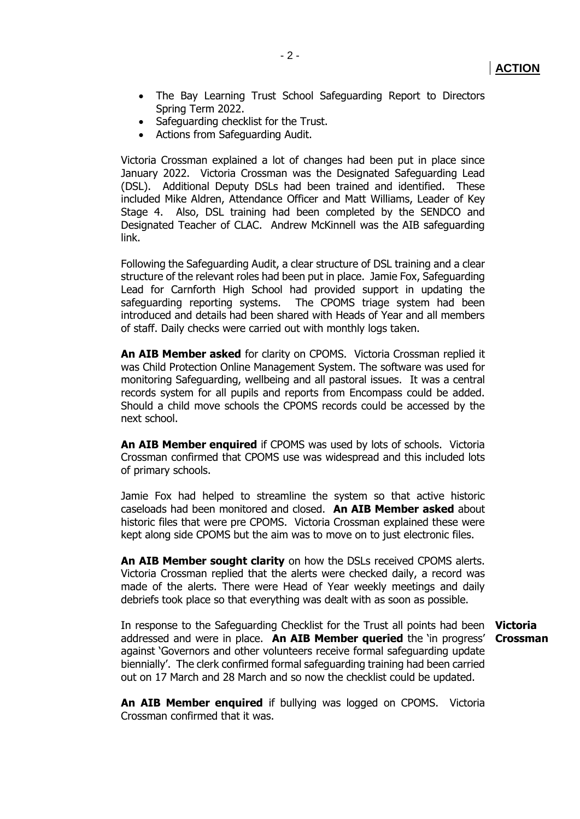- The Bay Learning Trust School Safeguarding Report to Directors Spring Term 2022.
- Safeguarding checklist for the Trust.
- Actions from Safeguarding Audit.

Victoria Crossman explained a lot of changes had been put in place since January 2022. Victoria Crossman was the Designated Safeguarding Lead (DSL). Additional Deputy DSLs had been trained and identified. These included Mike Aldren, Attendance Officer and Matt Williams, Leader of Key Stage 4. Also, DSL training had been completed by the SENDCO and Designated Teacher of CLAC. Andrew McKinnell was the AIB safeguarding link.

Following the Safeguarding Audit, a clear structure of DSL training and a clear structure of the relevant roles had been put in place. Jamie Fox, Safeguarding Lead for Carnforth High School had provided support in updating the safeguarding reporting systems. The CPOMS triage system had been introduced and details had been shared with Heads of Year and all members of staff. Daily checks were carried out with monthly logs taken.

**An AIB Member asked** for clarity on CPOMS. Victoria Crossman replied it was Child Protection Online Management System. The software was used for monitoring Safeguarding, wellbeing and all pastoral issues. It was a central records system for all pupils and reports from Encompass could be added. Should a child move schools the CPOMS records could be accessed by the next school.

**An AIB Member enquired** if CPOMS was used by lots of schools. Victoria Crossman confirmed that CPOMS use was widespread and this included lots of primary schools.

Jamie Fox had helped to streamline the system so that active historic caseloads had been monitored and closed. **An AIB Member asked** about historic files that were pre CPOMS. Victoria Crossman explained these were kept along side CPOMS but the aim was to move on to just electronic files.

**An AIB Member sought clarity** on how the DSLs received CPOMS alerts. Victoria Crossman replied that the alerts were checked daily, a record was made of the alerts. There were Head of Year weekly meetings and daily debriefs took place so that everything was dealt with as soon as possible.

In response to the Safeguarding Checklist for the Trust all points had been addressed and were in place. **An AIB Member queried** the 'in progress' against 'Governors and other volunteers receive formal safeguarding update biennially'. The clerk confirmed formal safeguarding training had been carried out on 17 March and 28 March and so now the checklist could be updated. **Victoria** 

**Crossman**

**An AIB Member enquired** if bullying was logged on CPOMS. Victoria Crossman confirmed that it was.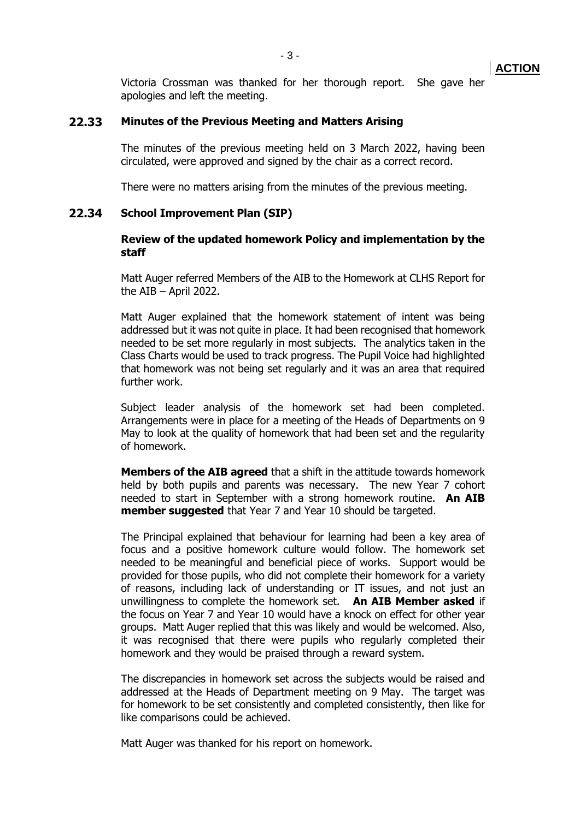Victoria Crossman was thanked for her thorough report. She gave her apologies and left the meeting.

#### **22.33 Minutes of the Previous Meeting and Matters Arising**

The minutes of the previous meeting held on 3 March 2022, having been circulated, were approved and signed by the chair as a correct record.

There were no matters arising from the minutes of the previous meeting.

#### **22.34 School Improvement Plan (SIP)**

#### **Review of the updated homework Policy and implementation by the staff**

Matt Auger referred Members of the AIB to the Homework at CLHS Report for the AIB – April 2022.

Matt Auger explained that the homework statement of intent was being addressed but it was not quite in place. It had been recognised that homework needed to be set more regularly in most subjects. The analytics taken in the Class Charts would be used to track progress. The Pupil Voice had highlighted that homework was not being set regularly and it was an area that required further work.

Subject leader analysis of the homework set had been completed. Arrangements were in place for a meeting of the Heads of Departments on 9 May to look at the quality of homework that had been set and the regularity of homework.

**Members of the AIB agreed** that a shift in the attitude towards homework held by both pupils and parents was necessary. The new Year 7 cohort needed to start in September with a strong homework routine. **An AIB member suggested** that Year 7 and Year 10 should be targeted.

The Principal explained that behaviour for learning had been a key area of focus and a positive homework culture would follow. The homework set needed to be meaningful and beneficial piece of works. Support would be provided for those pupils, who did not complete their homework for a variety of reasons, including lack of understanding or IT issues, and not just an unwillingness to complete the homework set. **An AIB Member asked** if the focus on Year 7 and Year 10 would have a knock on effect for other year groups. Matt Auger replied that this was likely and would be welcomed. Also, it was recognised that there were pupils who regularly completed their homework and they would be praised through a reward system.

The discrepancies in homework set across the subjects would be raised and addressed at the Heads of Department meeting on 9 May. The target was for homework to be set consistently and completed consistently, then like for like comparisons could be achieved.

Matt Auger was thanked for his report on homework.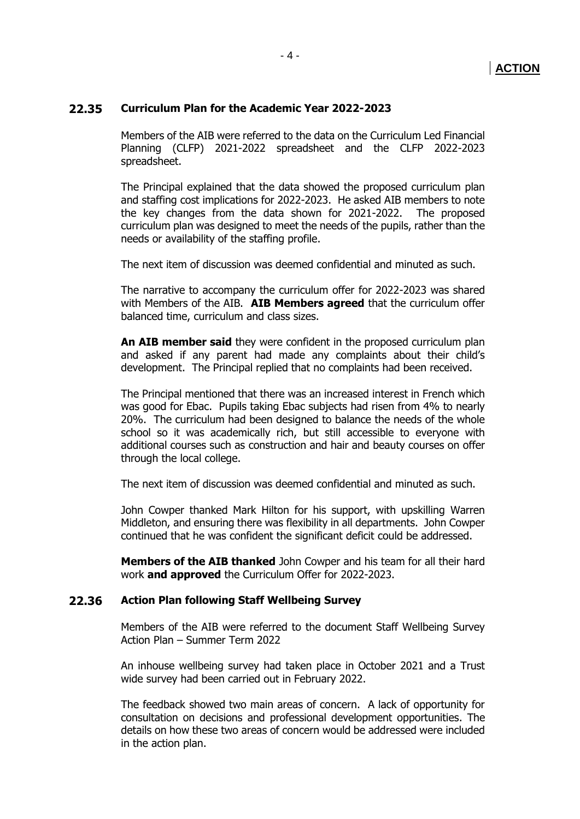## **22.35 Curriculum Plan for the Academic Year 2022-2023**

Members of the AIB were referred to the data on the Curriculum Led Financial Planning (CLFP) 2021-2022 spreadsheet and the CLFP 2022-2023 spreadsheet.

The Principal explained that the data showed the proposed curriculum plan and staffing cost implications for 2022-2023. He asked AIB members to note the key changes from the data shown for 2021-2022. The proposed curriculum plan was designed to meet the needs of the pupils, rather than the needs or availability of the staffing profile.

The next item of discussion was deemed confidential and minuted as such.

The narrative to accompany the curriculum offer for 2022-2023 was shared with Members of the AIB. **AIB Members agreed** that the curriculum offer balanced time, curriculum and class sizes.

**An AIB member said** they were confident in the proposed curriculum plan and asked if any parent had made any complaints about their child's development. The Principal replied that no complaints had been received.

The Principal mentioned that there was an increased interest in French which was good for Ebac. Pupils taking Ebac subjects had risen from 4% to nearly 20%. The curriculum had been designed to balance the needs of the whole school so it was academically rich, but still accessible to everyone with additional courses such as construction and hair and beauty courses on offer through the local college.

The next item of discussion was deemed confidential and minuted as such.

John Cowper thanked Mark Hilton for his support, with upskilling Warren Middleton, and ensuring there was flexibility in all departments. John Cowper continued that he was confident the significant deficit could be addressed.

**Members of the AIB thanked** John Cowper and his team for all their hard work **and approved** the Curriculum Offer for 2022-2023.

## **22.36 Action Plan following Staff Wellbeing Survey**

Members of the AIB were referred to the document Staff Wellbeing Survey Action Plan – Summer Term 2022

An inhouse wellbeing survey had taken place in October 2021 and a Trust wide survey had been carried out in February 2022.

The feedback showed two main areas of concern. A lack of opportunity for consultation on decisions and professional development opportunities. The details on how these two areas of concern would be addressed were included in the action plan.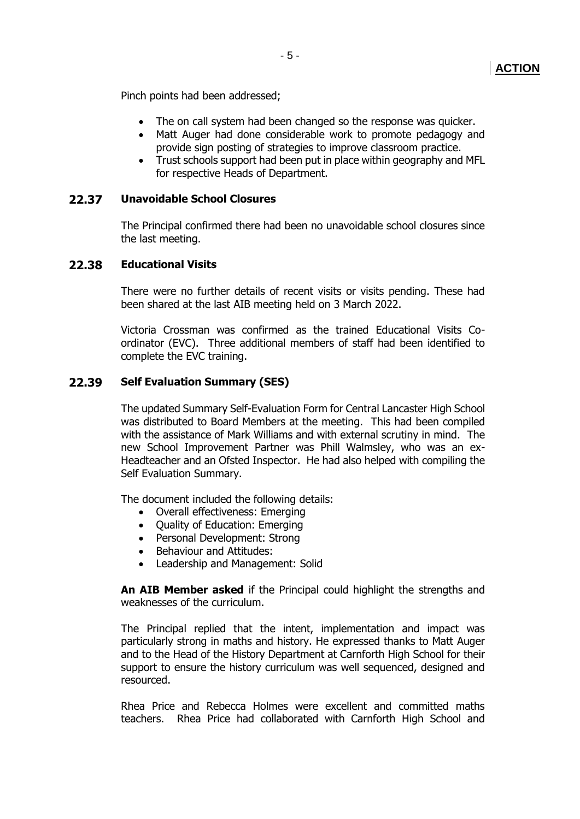Pinch points had been addressed;

- The on call system had been changed so the response was quicker.
- Matt Auger had done considerable work to promote pedagogy and provide sign posting of strategies to improve classroom practice.
- Trust schools support had been put in place within geography and MFL for respective Heads of Department.

## **22.37 Unavoidable School Closures**

The Principal confirmed there had been no unavoidable school closures since the last meeting.

## **22.38 Educational Visits**

There were no further details of recent visits or visits pending. These had been shared at the last AIB meeting held on 3 March 2022.

Victoria Crossman was confirmed as the trained Educational Visits Coordinator (EVC). Three additional members of staff had been identified to complete the EVC training.

## **22.39 Self Evaluation Summary (SES)**

The updated Summary Self-Evaluation Form for Central Lancaster High School was distributed to Board Members at the meeting. This had been compiled with the assistance of Mark Williams and with external scrutiny in mind. The new School Improvement Partner was Phill Walmsley, who was an ex-Headteacher and an Ofsted Inspector. He had also helped with compiling the Self Evaluation Summary.

The document included the following details:

- Overall effectiveness: Emerging
- Quality of Education: Emerging
- Personal Development: Strong
- Behaviour and Attitudes:
- Leadership and Management: Solid

**An AIB Member asked** if the Principal could highlight the strengths and weaknesses of the curriculum.

The Principal replied that the intent, implementation and impact was particularly strong in maths and history. He expressed thanks to Matt Auger and to the Head of the History Department at Carnforth High School for their support to ensure the history curriculum was well sequenced, designed and resourced.

Rhea Price and Rebecca Holmes were excellent and committed maths teachers. Rhea Price had collaborated with Carnforth High School and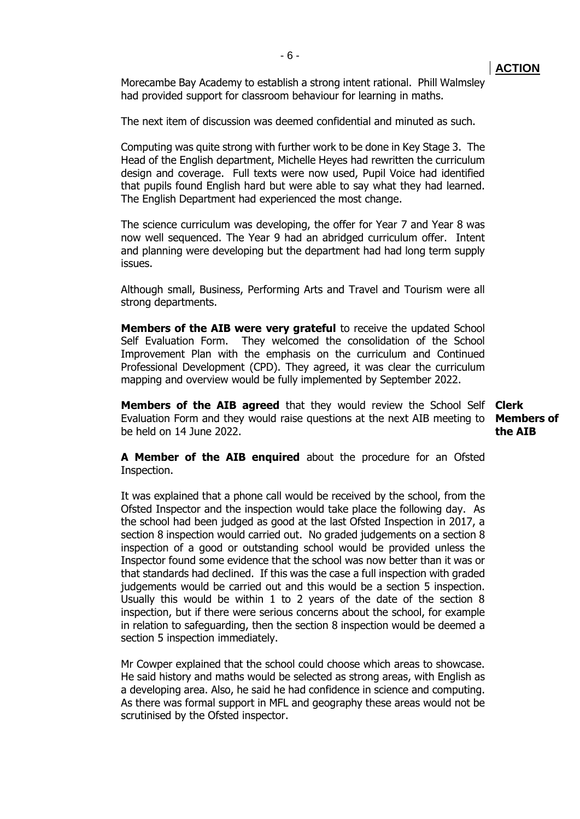Morecambe Bay Academy to establish a strong intent rational. Phill Walmsley had provided support for classroom behaviour for learning in maths.

The next item of discussion was deemed confidential and minuted as such.

Computing was quite strong with further work to be done in Key Stage 3. The Head of the English department, Michelle Heyes had rewritten the curriculum design and coverage. Full texts were now used, Pupil Voice had identified that pupils found English hard but were able to say what they had learned. The English Department had experienced the most change.

The science curriculum was developing, the offer for Year 7 and Year 8 was now well sequenced. The Year 9 had an abridged curriculum offer. Intent and planning were developing but the department had had long term supply issues.

Although small, Business, Performing Arts and Travel and Tourism were all strong departments.

**Members of the AIB were very grateful** to receive the updated School Self Evaluation Form. They welcomed the consolidation of the School Improvement Plan with the emphasis on the curriculum and Continued Professional Development (CPD). They agreed, it was clear the curriculum mapping and overview would be fully implemented by September 2022.

**Members of the AIB agreed** that they would review the School Self **Clerk** Evaluation Form and they would raise questions at the next AIB meeting to **Members of**  be held on 14 June 2022.

**A Member of the AIB enquired** about the procedure for an Ofsted Inspection.

It was explained that a phone call would be received by the school, from the Ofsted Inspector and the inspection would take place the following day. As the school had been judged as good at the last Ofsted Inspection in 2017, a section 8 inspection would carried out. No graded judgements on a section 8 inspection of a good or outstanding school would be provided unless the Inspector found some evidence that the school was now better than it was or that standards had declined. If this was the case a full inspection with graded judgements would be carried out and this would be a section 5 inspection. Usually this would be within 1 to 2 years of the date of the section 8 inspection, but if there were serious concerns about the school, for example in relation to safeguarding, then the section 8 inspection would be deemed a section 5 inspection immediately.

Mr Cowper explained that the school could choose which areas to showcase. He said history and maths would be selected as strong areas, with English as a developing area. Also, he said he had confidence in science and computing. As there was formal support in MFL and geography these areas would not be scrutinised by the Ofsted inspector.

**ACTION**

**the AIB**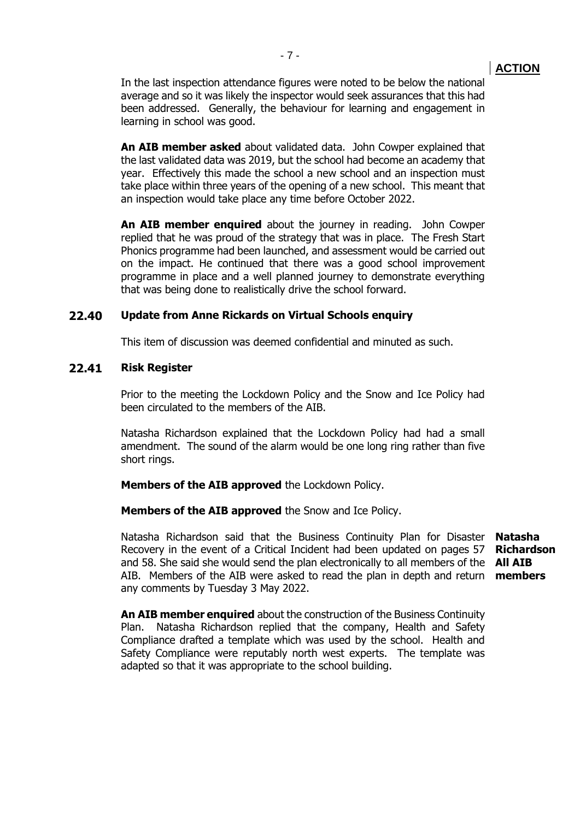In the last inspection attendance figures were noted to be below the national average and so it was likely the inspector would seek assurances that this had been addressed. Generally, the behaviour for learning and engagement in learning in school was good.

**An AIB member asked** about validated data. John Cowper explained that the last validated data was 2019, but the school had become an academy that year. Effectively this made the school a new school and an inspection must take place within three years of the opening of a new school. This meant that an inspection would take place any time before October 2022.

**An AIB member enquired** about the journey in reading. John Cowper replied that he was proud of the strategy that was in place. The Fresh Start Phonics programme had been launched, and assessment would be carried out on the impact. He continued that there was a good school improvement programme in place and a well planned journey to demonstrate everything that was being done to realistically drive the school forward.

## **22.40 Update from Anne Rickards on Virtual Schools enquiry**

This item of discussion was deemed confidential and minuted as such.

## **22.41 Risk Register**

Prior to the meeting the Lockdown Policy and the Snow and Ice Policy had been circulated to the members of the AIB.

Natasha Richardson explained that the Lockdown Policy had had a small amendment. The sound of the alarm would be one long ring rather than five short rings.

#### **Members of the AIB approved** the Lockdown Policy.

**Members of the AIB approved** the Snow and Ice Policy.

Natasha Richardson said that the Business Continuity Plan for Disaster Recovery in the event of a Critical Incident had been updated on pages 57 and 58. She said she would send the plan electronically to all members of the **All AIB**  AIB. Members of the AIB were asked to read the plan in depth and return **members** any comments by Tuesday 3 May 2022.

**Natasha Richardson**

**An AIB member enquired** about the construction of the Business Continuity Plan. Natasha Richardson replied that the company, Health and Safety Compliance drafted a template which was used by the school. Health and Safety Compliance were reputably north west experts. The template was adapted so that it was appropriate to the school building.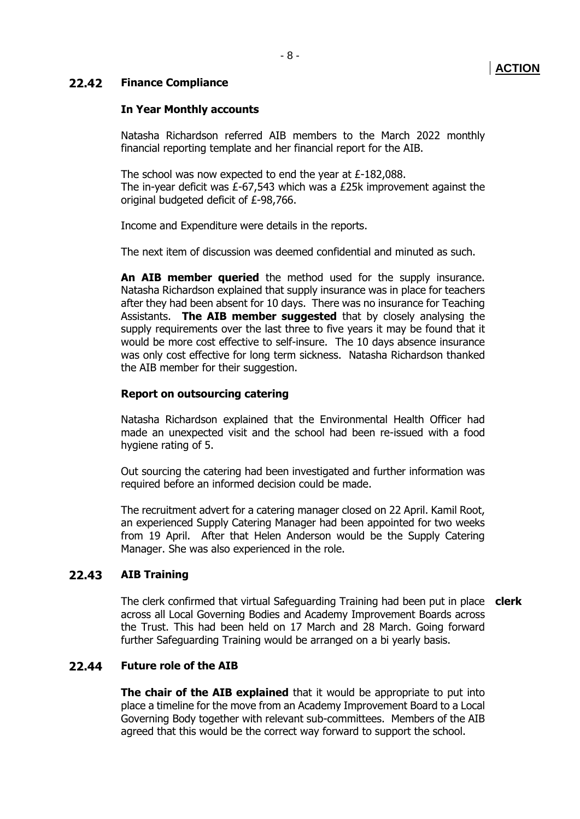# **ACTION**

## **22.42 Finance Compliance**

## **In Year Monthly accounts**

Natasha Richardson referred AIB members to the March 2022 monthly financial reporting template and her financial report for the AIB.

The school was now expected to end the year at £-182,088. The in-year deficit was £-67,543 which was a £25k improvement against the original budgeted deficit of £-98,766.

Income and Expenditure were details in the reports.

The next item of discussion was deemed confidential and minuted as such.

**An AIB member queried** the method used for the supply insurance. Natasha Richardson explained that supply insurance was in place for teachers after they had been absent for 10 days. There was no insurance for Teaching Assistants. **The AIB member suggested** that by closely analysing the supply requirements over the last three to five years it may be found that it would be more cost effective to self-insure. The 10 days absence insurance was only cost effective for long term sickness. Natasha Richardson thanked the AIB member for their suggestion.

#### **Report on outsourcing catering**

Natasha Richardson explained that the Environmental Health Officer had made an unexpected visit and the school had been re-issued with a food hygiene rating of 5.

Out sourcing the catering had been investigated and further information was required before an informed decision could be made.

The recruitment advert for a catering manager closed on 22 April. Kamil Root, an experienced Supply Catering Manager had been appointed for two weeks from 19 April. After that Helen Anderson would be the Supply Catering Manager. She was also experienced in the role.

## **22.43 AIB Training**

The clerk confirmed that virtual Safeguarding Training had been put in place **clerk** across all Local Governing Bodies and Academy Improvement Boards across the Trust. This had been held on 17 March and 28 March. Going forward further Safeguarding Training would be arranged on a bi yearly basis.

## **22.44 Future role of the AIB**

**The chair of the AIB explained** that it would be appropriate to put into place a timeline for the move from an Academy Improvement Board to a Local Governing Body together with relevant sub-committees. Members of the AIB agreed that this would be the correct way forward to support the school.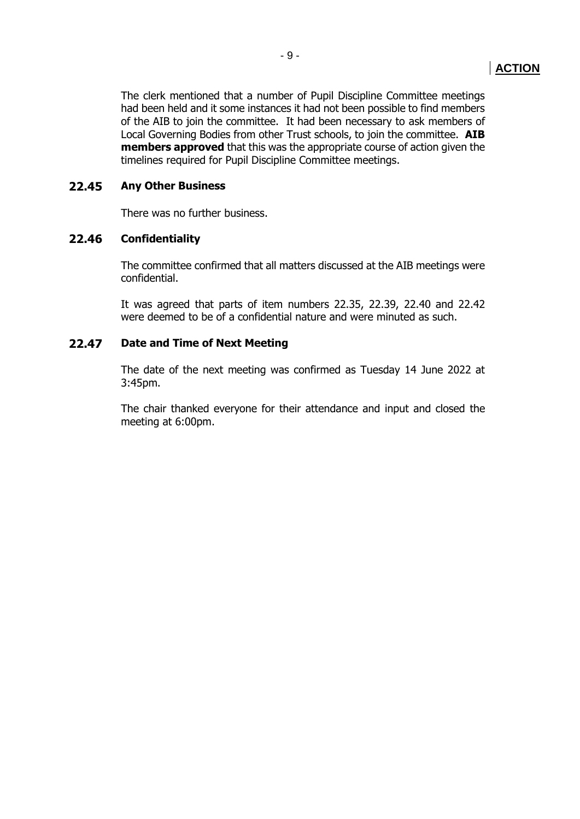The clerk mentioned that a number of Pupil Discipline Committee meetings had been held and it some instances it had not been possible to find members of the AIB to join the committee. It had been necessary to ask members of Local Governing Bodies from other Trust schools, to join the committee. **AIB members approved** that this was the appropriate course of action given the timelines required for Pupil Discipline Committee meetings.

## **22.45 Any Other Business**

There was no further business.

## **22.46 Confidentiality**

The committee confirmed that all matters discussed at the AIB meetings were confidential.

It was agreed that parts of item numbers 22.35, 22.39, 22.40 and 22.42 were deemed to be of a confidential nature and were minuted as such.

## **22.47 Date and Time of Next Meeting**

The date of the next meeting was confirmed as Tuesday 14 June 2022 at 3:45pm.

The chair thanked everyone for their attendance and input and closed the meeting at 6:00pm.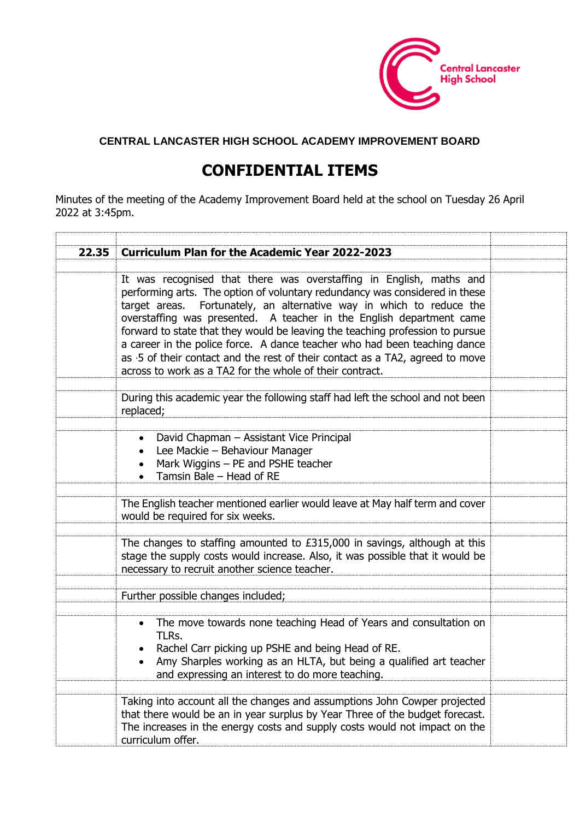

## **CENTRAL LANCASTER HIGH SCHOOL ACADEMY IMPROVEMENT BOARD**

# **CONFIDENTIAL ITEMS**

Minutes of the meeting of the Academy Improvement Board held at the school on Tuesday 26 April 2022 at 3:45pm.

| 22.35 | <b>Curriculum Plan for the Academic Year 2022-2023</b>                                                                                                                                                                                                                                                                                                                                                                                                                                                                                                                                                        |  |
|-------|---------------------------------------------------------------------------------------------------------------------------------------------------------------------------------------------------------------------------------------------------------------------------------------------------------------------------------------------------------------------------------------------------------------------------------------------------------------------------------------------------------------------------------------------------------------------------------------------------------------|--|
|       |                                                                                                                                                                                                                                                                                                                                                                                                                                                                                                                                                                                                               |  |
|       | It was recognised that there was overstaffing in English, maths and<br>performing arts. The option of voluntary redundancy was considered in these<br>target areas. Fortunately, an alternative way in which to reduce the<br>overstaffing was presented. A teacher in the English department came<br>forward to state that they would be leaving the teaching profession to pursue<br>a career in the police force. A dance teacher who had been teaching dance<br>as .5 of their contact and the rest of their contact as a TA2, agreed to move<br>across to work as a TA2 for the whole of their contract. |  |
|       |                                                                                                                                                                                                                                                                                                                                                                                                                                                                                                                                                                                                               |  |
|       | During this academic year the following staff had left the school and not been<br>replaced;                                                                                                                                                                                                                                                                                                                                                                                                                                                                                                                   |  |
|       |                                                                                                                                                                                                                                                                                                                                                                                                                                                                                                                                                                                                               |  |
|       | David Chapman - Assistant Vice Principal<br>$\bullet$<br>Lee Mackie - Behaviour Manager<br>Mark Wiggins - PE and PSHE teacher<br>$\bullet$<br>Tamsin Bale - Head of RE<br>$\bullet$                                                                                                                                                                                                                                                                                                                                                                                                                           |  |
|       |                                                                                                                                                                                                                                                                                                                                                                                                                                                                                                                                                                                                               |  |
|       | The English teacher mentioned earlier would leave at May half term and cover<br>would be required for six weeks.                                                                                                                                                                                                                                                                                                                                                                                                                                                                                              |  |
|       |                                                                                                                                                                                                                                                                                                                                                                                                                                                                                                                                                                                                               |  |
|       | The changes to staffing amounted to £315,000 in savings, although at this<br>stage the supply costs would increase. Also, it was possible that it would be<br>necessary to recruit another science teacher.                                                                                                                                                                                                                                                                                                                                                                                                   |  |
|       |                                                                                                                                                                                                                                                                                                                                                                                                                                                                                                                                                                                                               |  |
|       | Further possible changes included;                                                                                                                                                                                                                                                                                                                                                                                                                                                                                                                                                                            |  |
|       |                                                                                                                                                                                                                                                                                                                                                                                                                                                                                                                                                                                                               |  |
|       | The move towards none teaching Head of Years and consultation on<br>$\bullet$<br>TLRs.<br>Rachel Carr picking up PSHE and being Head of RE.<br>Amy Sharples working as an HLTA, but being a qualified art teacher<br>$\bullet$<br>and expressing an interest to do more teaching.                                                                                                                                                                                                                                                                                                                             |  |
|       |                                                                                                                                                                                                                                                                                                                                                                                                                                                                                                                                                                                                               |  |
|       | Taking into account all the changes and assumptions John Cowper projected<br>that there would be an in year surplus by Year Three of the budget forecast.<br>The increases in the energy costs and supply costs would not impact on the<br>curriculum offer.                                                                                                                                                                                                                                                                                                                                                  |  |